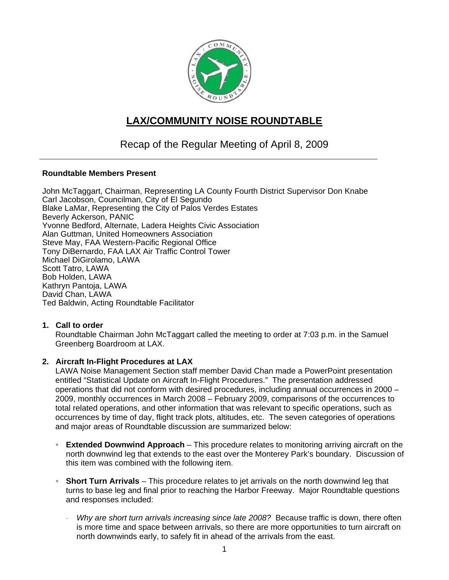

# **LAX/COMMUNITY NOISE ROUNDTABLE**

# Recap of the Regular Meeting of April 8, 2009

#### **Roundtable Members Present**

John McTaggart, Chairman, Representing LA County Fourth District Supervisor Don Knabe Carl Jacobson, Councilman, City of El Segundo Blake LaMar, Representing the City of Palos Verdes Estates Beverly Ackerson, PANIC Yvonne Bedford, Alternate, Ladera Heights Civic Association Alan Guttman, United Homeowners Association Steve May, FAA Western-Pacific Regional Office Tony DiBernardo, FAA LAX Air Traffic Control Tower Michael DiGirolamo, LAWA Scott Tatro, LAWA Bob Holden, LAWA Kathryn Pantoja, LAWA David Chan, LAWA Ted Baldwin, Acting Roundtable Facilitator

# **1. Call to order**

Roundtable Chairman John McTaggart called the meeting to order at 7:03 p.m. in the Samuel Greenberg Boardroom at LAX.

# **2. Aircraft In-Flight Procedures at LAX**

LAWA Noise Management Section staff member David Chan made a PowerPoint presentation entitled "Statistical Update on Aircraft In-Flight Procedures." The presentation addressed operations that did not conform with desired procedures, including annual occurrences in 2000 – 2009, monthly occurrences in March 2008 – February 2009, comparisons of the occurrences to total related operations, and other information that was relevant to specific operations, such as occurrences by time of day, flight track plots, altitudes, etc. The seven categories of operations and major areas of Roundtable discussion are summarized below:

- **Extended Downwind Approach** This procedure relates to monitoring arriving aircraft on the north downwind leg that extends to the east over the Monterey Park's boundary. Discussion of this item was combined with the following item.
- **Short Turn Arrivals** This procedure relates to jet arrivals on the north downwind leg that turns to base leg and final prior to reaching the Harbor Freeway. Major Roundtable questions and responses included:
	- *Why are short turn arrivals increasing since late 2008?* Because traffic is down, there often is more time and space between arrivals, so there are more opportunities to turn aircraft on north downwinds early, to safely fit in ahead of the arrivals from the east.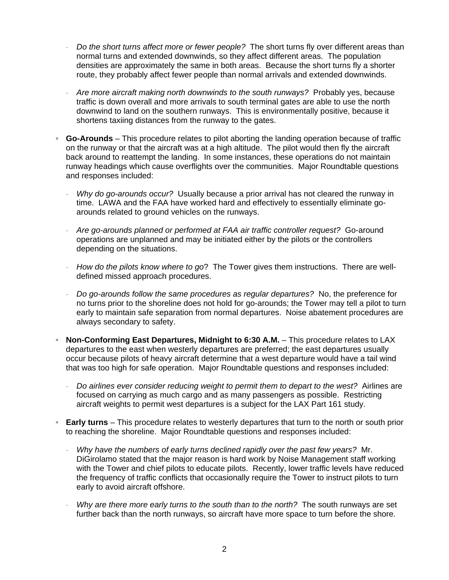- *Do the short turns affect more or fewer people?* The short turns fly over different areas than normal turns and extended downwinds, so they affect different areas. The population densities are approximately the same in both areas. Because the short turns fly a shorter route, they probably affect fewer people than normal arrivals and extended downwinds.
- *Are more aircraft making north downwinds to the south runways?* Probably yes, because traffic is down overall and more arrivals to south terminal gates are able to use the north downwind to land on the southern runways. This is environmentally positive, because it shortens taxiing distances from the runway to the gates.
- **Go-Arounds**  This procedure relates to pilot aborting the landing operation because of traffic on the runway or that the aircraft was at a high altitude. The pilot would then fly the aircraft back around to reattempt the landing. In some instances, these operations do not maintain runway headings which cause overflights over the communities. Major Roundtable questions and responses included:
	- Why do go-arounds occur? Usually because a prior arrival has not cleared the runway in time. LAWA and the FAA have worked hard and effectively to essentially eliminate goarounds related to ground vehicles on the runways.
	- *Are go-arounds planned or performed at FAA air traffic controller request?* Go-around operations are unplanned and may be initiated either by the pilots or the controllers depending on the situations.
	- *How do the pilots know where to go*? The Tower gives them instructions. There are welldefined missed approach procedures.
	- *Do go-arounds follow the same procedures as regular departures?* No, the preference for no turns prior to the shoreline does not hold for go-arounds; the Tower may tell a pilot to turn early to maintain safe separation from normal departures. Noise abatement procedures are always secondary to safety.
- **Non-Conforming East Departures, Midnight to 6:30 A.M.** This procedure relates to LAX departures to the east when westerly departures are preferred; the east departures usually occur because pilots of heavy aircraft determine that a west departure would have a tail wind that was too high for safe operation. Major Roundtable questions and responses included:
	- *Do airlines ever consider reducing weight to permit them to depart to the west?* Airlines are focused on carrying as much cargo and as many passengers as possible. Restricting aircraft weights to permit west departures is a subject for the LAX Part 161 study.
- **Early turns** This procedure relates to westerly departures that turn to the north or south prior to reaching the shoreline. Major Roundtable questions and responses included:
	- *Why have the numbers of early turns declined rapidly over the past few years?* Mr. DiGirolamo stated that the major reason is hard work by Noise Management staff working with the Tower and chief pilots to educate pilots. Recently, lower traffic levels have reduced the frequency of traffic conflicts that occasionally require the Tower to instruct pilots to turn early to avoid aircraft offshore.
	- *Why are there more early turns to the south than to the north?* The south runways are set further back than the north runways, so aircraft have more space to turn before the shore.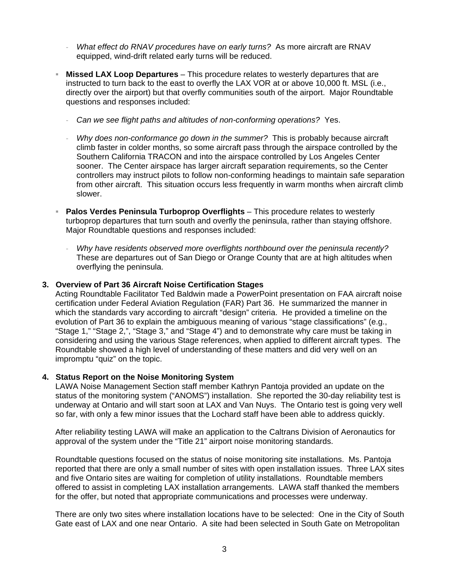- *What effect do RNAV procedures have on early turns?* As more aircraft are RNAV equipped, wind-drift related early turns will be reduced.
- **Missed LAX Loop Departures** This procedure relates to westerly departures that are instructed to turn back to the east to overfly the LAX VOR at or above 10,000 ft. MSL (i.e., directly over the airport) but that overfly communities south of the airport. Major Roundtable questions and responses included:
	- *Can we see flight paths and altitudes of non-conforming operations?* Yes.
	- *Why does non-conformance go down in the summer?* This is probably because aircraft climb faster in colder months, so some aircraft pass through the airspace controlled by the Southern California TRACON and into the airspace controlled by Los Angeles Center sooner. The Center airspace has larger aircraft separation requirements, so the Center controllers may instruct pilots to follow non-conforming headings to maintain safe separation from other aircraft. This situation occurs less frequently in warm months when aircraft climb slower.
- **Palos Verdes Peninsula Turboprop Overflights** This procedure relates to westerly turboprop departures that turn south and overfly the peninsula, rather than staying offshore. Major Roundtable questions and responses included:
	- *Why have residents observed more overflights northbound over the peninsula recently?* These are departures out of San Diego or Orange County that are at high altitudes when overflying the peninsula.

#### **3. Overview of Part 36 Aircraft Noise Certification Stages**

Acting Roundtable Facilitator Ted Baldwin made a PowerPoint presentation on FAA aircraft noise certification under Federal Aviation Regulation (FAR) Part 36. He summarized the manner in which the standards vary according to aircraft "design" criteria. He provided a timeline on the evolution of Part 36 to explain the ambiguous meaning of various "stage classifications" (e.g., "Stage 1," "Stage 2,", "Stage 3," and "Stage 4") and to demonstrate why care must be taking in considering and using the various Stage references, when applied to different aircraft types. The Roundtable showed a high level of understanding of these matters and did very well on an impromptu "quiz" on the topic.

#### **4. Status Report on the Noise Monitoring System**

LAWA Noise Management Section staff member Kathryn Pantoja provided an update on the status of the monitoring system ("ANOMS") installation. She reported the 30-day reliability test is underway at Ontario and will start soon at LAX and Van Nuys. The Ontario test is going very well so far, with only a few minor issues that the Lochard staff have been able to address quickly.

After reliability testing LAWA will make an application to the Caltrans Division of Aeronautics for approval of the system under the "Title 21" airport noise monitoring standards.

Roundtable questions focused on the status of noise monitoring site installations. Ms. Pantoja reported that there are only a small number of sites with open installation issues. Three LAX sites and five Ontario sites are waiting for completion of utility installations. Roundtable members offered to assist in completing LAX installation arrangements. LAWA staff thanked the members for the offer, but noted that appropriate communications and processes were underway.

There are only two sites where installation locations have to be selected: One in the City of South Gate east of LAX and one near Ontario. A site had been selected in South Gate on Metropolitan